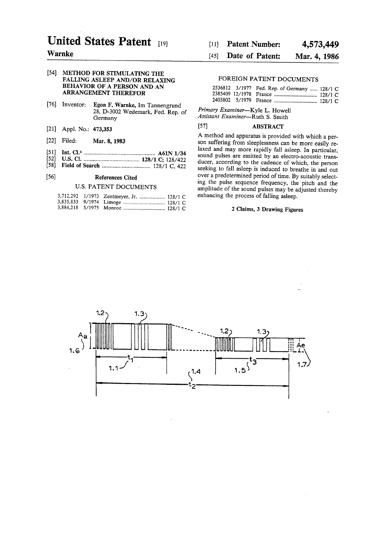# United States Patent [19]

# Warnke

#### 54 METHOD FOR STIMULATING THE FALLING ASLEEP AND/OR RELAXING BEHAVIOR OF A PERSON AND AN ARRANGEMENT THEREFOR

- [76] Inventor: Egon F. Warnke, Im Tannengrund 28, D-3002 Wedemark, Fed. Rep. of Germany
- 21) Appl. No.: 473,353
- [22] Filed: Mar. 8, 1983
- $\begin{bmatrix} 51 \\ 52 \end{bmatrix}$ Int. Cl." ............................................... A61N 1/34
- 52) U.S. Cl. ..................................... 128/1 C; 128/422
- (58) Field of Search ................................ 128/1 C, 422

#### (56) References Cited

# U.S. PATENT DOCUMENTS

|  | 3,712,292 1/1973 Zentmeyer, Jr.  128/1 C |  |
|--|------------------------------------------|--|
|  |                                          |  |
|  |                                          |  |

#### 4,573,449 Patent Number: 11)

#### Mar. 4, 1986 Date of Patent: 45)

# FOREIGN PATENT DOCUMENTS

|  | 2536812 3/1977 Fed. Rep. of Germany  128/1 C |  |
|--|----------------------------------------------|--|
|  |                                              |  |
|  |                                              |  |

Primary Examiner-Kyle L. Howell Assistant Examiner-Ruth S. Smith

### 57) ABSTRACT

A method and apparatus is provided with which a per son suffering from sleeplessness can be more easily re laxed and may more rapidly fall asleep. In particular, sound pulses are emitted by an electro-acoustic trans-<br>ducer, according to the cadence of which, the person seeking to fall asleep is induced to breathe in and out over a predetermined period of time. By suitably select ing the pulse sequence frequency, the pitch and the amplitude of the sound pulses may be adjusted thereby enhancing the process of falling asleep.

## 2 Claims, 3 Drawing Figures

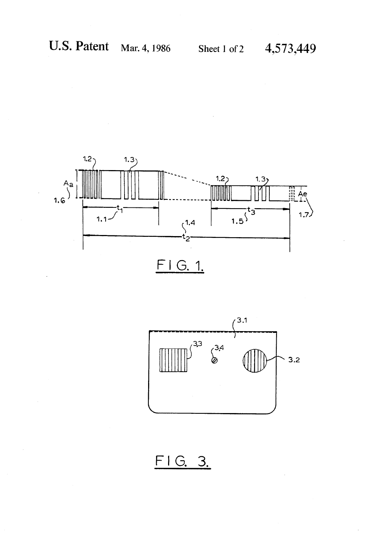



FIG. 3.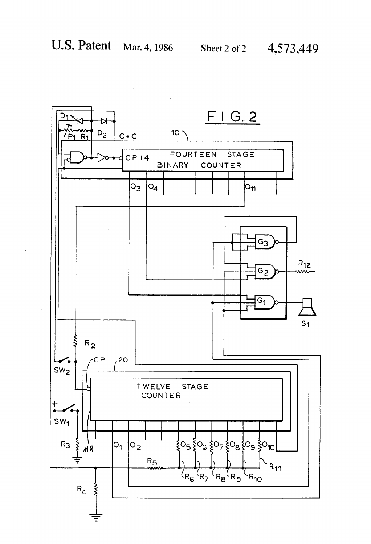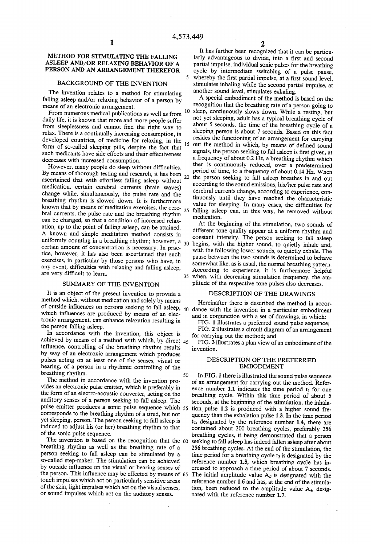5

### METHOD FOR STIMULATING THE FALLING ASLEEP AND/OR RELAXING BEHAVIOR OF A PERSON AND AN ARRANGEMENT THEREFOR

### BACKGROUND OF THE INVENTION

The invention relates to a method for stimulating falling asleep and/or relaxing behavior of a person by means of an electronic arrangement.

From numerous medical publications as well as from daily life, it is known that more and more people suffer from sleeplessness and cannot find the right way to relax. There is a continually increasing consumption, in developed countries, of medicine for relaxing, in the form of so-called sleeping pills, despite the fact that such medicants have side effects and their effectiveness decreases with increased consumption.<br>However, many people do sleep without difficulties.

However, many people do sleep without difficulties. By means of thorough testing and research, it has been 20<br>ascertained that with effortloss folling calors without 20 ascertained that with effortless falling asleep without medication, certain cerebral currents (brain waves) change while, simultaneously, the pulse rate and the breathing rhythm is slowed down. It is furthermore known that by means of meditation exercises, the cere-<br>hral ourrents, the pulse rate and the hazalises should be bral currents, the pulse rate and the breathing rhythm can be changed, so that a condition of increased relax ation, up to the point of falling asleep, can be attained. A known and simple meditation method consists in uniformly counting in a breathing rhythm; however, a  $_{30}$ certain amount of concentration is necessary. In prac tice, however, it has also been ascertained that such exercises, in particular by those persons who have, in any event, difficulties with relaxing and falling asleep, are very difficult to learn.

#### SUMMARY OF THE INVENTION

It is an object of the present invention to provide a method which, without medication and solely by means which influences are produced by means of an electronic arrangement, can enhance relaxation resulting in the person falling asleep. of outside influences on persons seeking to fall asleep,  $40$ 

In accordance with the invention, this object is achieved by means of a method with which, by direct  $45$ influence, controlling of the breathing rhythm results by way of an electronic arrangement which produces pulses acting on at least one of the senses, visual or hearing, of a person in a rhythmic controlling of the breathing rhythm. 50

The method in accordance with the invention provides an electronic pulse emitter, which is preferably in the form of an electro-acoustic converter, acting on the auditory senses of a person seeking to fall asleep. The pulse emitter produces a sonic pulse sequence which 55 corresponds to the breathing rhythm of a tired, but not yet sleeping, person. The person seeking to fall asleep is induced to adjust his (or her) breathing rhythm to that of the sonic pulse sequence.

I'm is based on the recognition that the 60 breathing rhythm as well as the breathing rate of a person seeking to fall asleep can be stimulated by a so-called step-maker. The stimulation can be achieved by outside influence on the visual or hearing senses of the person. This influence may be effected by means of 65 touch impulses which act on particularly sensitive areas of the skin, light impulses which act on the visual senses, or sound impulses which act on the auditory senses.

2<br>It has further been recognized that it can be particularly advantageous to divide, into a first and second partial impulse, individual sonic pulses for the breathing cycle by intermediate switching of a pulse pause, whereby the first partial impulse, at a first sound level, stimulates inhaling while the second partial impulse, at another sound level, stimulates exhaling.<br>A special embodiment of the method is based on the

 ${\bf 10}$ 15 out the method in which, by means of defined sound recognition that the breathing rate of a person going to sleep, continuously slows down. While a resting, but not yet sleeping, adult has a typical breathing cycle of about 5 seconds, the time of the breathing cycle of a sleeping person is about 7 seconds. Based on this fact resides the functioning of an arrangement for carrying signals, the person seeking to fall asleep is first given, at a frequency of about 0.2  $\bar{H}z$ , a breathing rhythm which then is continuously reduced, over a predetermined period of time, to a frequency of about 0.14 Hz. When the person seeking to fall asleep breathes in and out according to the sound emissions, his/her pulse rate and cerebral currents change, according to experience, con tinuously until they have reached the characteristic value for sleeping. In many cases, the difficulties for falling asleep can, in this way, be removed without medication.

somewhat like, as is usual, the normal breathing pattern.<br>According to experience, it is furthermore helpful<br>35 when, with decreasing stimulation frequency, the am-At the beginning of the stimulation, two sounds of different tone quality appear at a uniform rhythm and constant intensity. The person seeking to fall asleep begins, with the higher sound, to quietly inhale and, with the following lower sounds, to quietly exhale. The pause between the two sounds is determined to behave somewhat like, as is usual, the normal breathing pattern. plitude of the respective tone pulses also decreases.

#### DESCRIPTION OF THE DRAWINGS

Hereinafter there is described the method in accor dance with the invention in a particular embodiment and in conjunction with a set of drawings, in which:

FIG. 1 illustrates a preferred sound pulse sequence;

FIG. 2 illustrates a circuit diagram of an arrangement for carrying out the method; and

FIG. 3 illustrates a plan view of an embodiment of the invention.

#### DESCRIPTION OF THE PREFERRED EMBODIMENT

In FIG. 1 there is illustrated the sound pulse sequence of an arrangement for carrying out the method. Refer ence number 1.1 indicates the time period  $t_1$  for one breathing cycle. Within this time period of about 5 seconds, at the beginning of the stimulation, the inhala tion pulse 1.2 is produced with a higher sound frequency than the exhalation pulse 1.3. In the time period  $t_2$ , designated by the reference number 1.4, there are contained about 300 breathing cycles, preferably 256 seeking to fall asleep has indeed fallen asleep after about 256 breathing cycles. At the end of the stimulation, the time period for a breathing cycle  $t_3$  is designated by the reference number 1.5, which breathing cycle has in creased to approach a time period of about 7 seconds. The initial amplitude value  $A_q$  is designated with the reference number 1.6 and has, at the end of the stimula tion, been reduced to the amplitude value  $A_e$ , designated with the reference number 1.7.